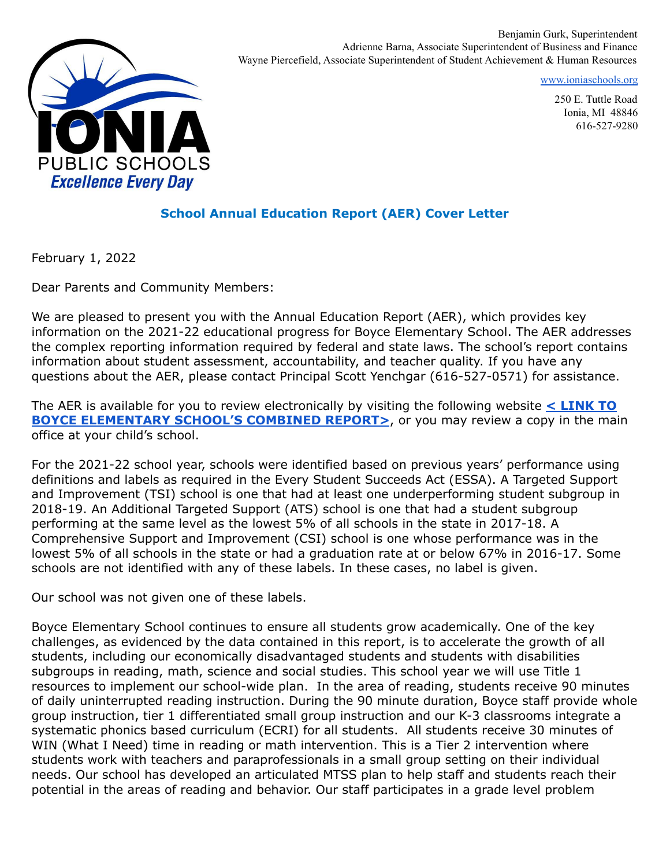

Benjamin Gurk, Superintendent Adrienne Barna, Associate Superintendent of Business and Finance Wayne Piercefield, Associate Superintendent of Student Achievement & Human Resources

[www.ioniaschools.org](http://www.ioniaschools.org)

250 E. Tuttle Road Ionia, MI 48846 616-527-9280

#### **School Annual Education Report (AER) Cover Letter**

February 1, 2022

Dear Parents and Community Members:

We are pleased to present you with the Annual Education Report (AER), which provides key information on the 2021-22 educational progress for Boyce Elementary School. The AER addresses the complex reporting information required by federal and state laws. The school's report contains information about student assessment, accountability, and teacher quality. If you have any questions about the AER, please contact Principal Scott Yenchgar (616-527-0571) for assistance.

The AER is available for you to review electronically by visiting the following website **< [LINK](https://bit.ly/3KYJj3y) TO BOYCE [ELEMENTARY](https://bit.ly/3KYJj3y) SCHOOL'S COMBINED REPORT>, or you may review a copy in the main** office at your child's school.

For the 2021-22 school year, schools were identified based on previous years' performance using definitions and labels as required in the Every Student Succeeds Act (ESSA). A Targeted Support and Improvement (TSI) school is one that had at least one underperforming student subgroup in 2018-19. An Additional Targeted Support (ATS) school is one that had a student subgroup performing at the same level as the lowest 5% of all schools in the state in 2017-18. A Comprehensive Support and Improvement (CSI) school is one whose performance was in the lowest 5% of all schools in the state or had a graduation rate at or below 67% in 2016-17. Some schools are not identified with any of these labels. In these cases, no label is given.

Our school was not given one of these labels.

Boyce Elementary School continues to ensure all students grow academically. One of the key challenges, as evidenced by the data contained in this report, is to accelerate the growth of all students, including our economically disadvantaged students and students with disabilities subgroups in reading, math, science and social studies. This school year we will use Title 1 resources to implement our school-wide plan. In the area of reading, students receive 90 minutes of daily uninterrupted reading instruction. During the 90 minute duration, Boyce staff provide whole group instruction, tier 1 differentiated small group instruction and our K-3 classrooms integrate a systematic phonics based curriculum (ECRI) for all students. All students receive 30 minutes of WIN (What I Need) time in reading or math intervention. This is a Tier 2 intervention where students work with teachers and paraprofessionals in a small group setting on their individual needs. Our school has developed an articulated MTSS plan to help staff and students reach their potential in the areas of reading and behavior. Our staff participates in a grade level problem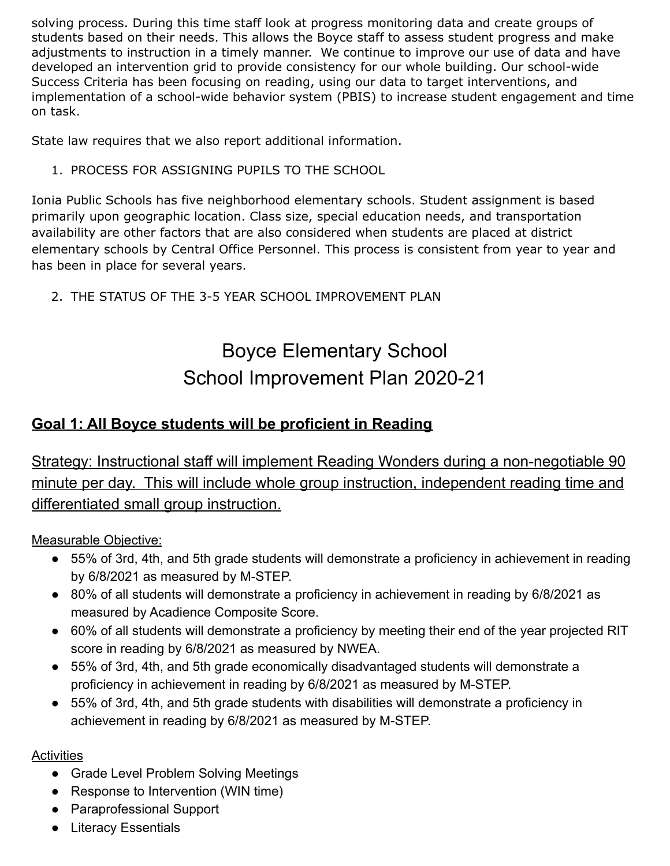solving process. During this time staff look at progress monitoring data and create groups of students based on their needs. This allows the Boyce staff to assess student progress and make adjustments to instruction in a timely manner. We continue to improve our use of data and have developed an intervention grid to provide consistency for our whole building. Our school-wide Success Criteria has been focusing on reading, using our data to target interventions, and implementation of a school-wide behavior system (PBIS) to increase student engagement and time on task.

State law requires that we also report additional information.

1. PROCESS FOR ASSIGNING PUPILS TO THE SCHOOL

Ionia Public Schools has five neighborhood elementary schools. Student assignment is based primarily upon geographic location. Class size, special education needs, and transportation availability are other factors that are also considered when students are placed at district elementary schools by Central Office Personnel. This process is consistent from year to year and has been in place for several years.

2. THE STATUS OF THE 3-5 YEAR SCHOOL IMPROVEMENT PLAN

# Boyce Elementary School School Improvement Plan 2020-21

### **Goal 1: All Boyce students will be proficient in Reading**

Strategy: Instructional staff will implement Reading Wonders during a non-negotiable 90 minute per day. This will include whole group instruction, independent reading time and differentiated small group instruction.

Measurable Objective:

- 55% of 3rd, 4th, and 5th grade students will demonstrate a proficiency in achievement in reading by 6/8/2021 as measured by M-STEP.
- 80% of all students will demonstrate a proficiency in achievement in reading by 6/8/2021 as measured by Acadience Composite Score.
- 60% of all students will demonstrate a proficiency by meeting their end of the year projected RIT score in reading by 6/8/2021 as measured by NWEA.
- 55% of 3rd, 4th, and 5th grade economically disadvantaged students will demonstrate a proficiency in achievement in reading by 6/8/2021 as measured by M-STEP.
- 55% of 3rd, 4th, and 5th grade students with disabilities will demonstrate a proficiency in achievement in reading by 6/8/2021 as measured by M-STEP.

#### Activities

- Grade Level Problem Solving Meetings
- Response to Intervention (WIN time)
- Paraprofessional Support
- Literacy Essentials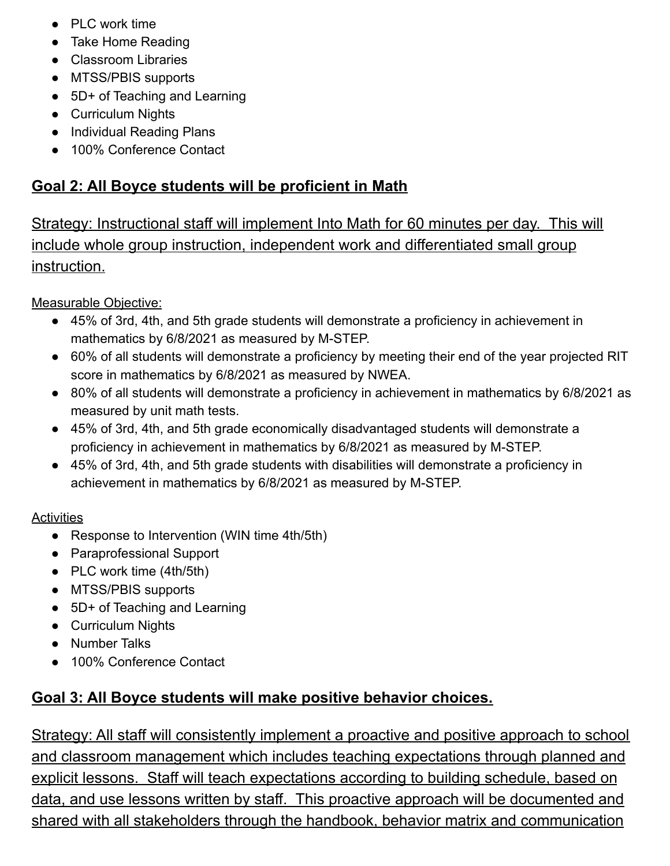- PLC work time
- Take Home Reading
- Classroom Libraries
- MTSS/PBIS supports
- 5D+ of Teaching and Learning
- Curriculum Nights
- Individual Reading Plans
- 100% Conference Contact

## **Goal 2: All Boyce students will be proficient in Math**

Strategy: Instructional staff will implement Into Math for 60 minutes per day. This will include whole group instruction, independent work and differentiated small group instruction.

Measurable Objective:

- 45% of 3rd, 4th, and 5th grade students will demonstrate a proficiency in achievement in mathematics by 6/8/2021 as measured by M-STEP.
- 60% of all students will demonstrate a proficiency by meeting their end of the year projected RIT score in mathematics by 6/8/2021 as measured by NWEA.
- 80% of all students will demonstrate a proficiency in achievement in mathematics by 6/8/2021 as measured by unit math tests.
- 45% of 3rd, 4th, and 5th grade economically disadvantaged students will demonstrate a proficiency in achievement in mathematics by 6/8/2021 as measured by M-STEP.
- 45% of 3rd, 4th, and 5th grade students with disabilities will demonstrate a proficiency in achievement in mathematics by 6/8/2021 as measured by M-STEP.

### **Activities**

- Response to Intervention (WIN time 4th/5th)
- Paraprofessional Support
- PLC work time (4th/5th)
- MTSS/PBIS supports
- 5D+ of Teaching and Learning
- Curriculum Nights
- Number Talks
- 100% Conference Contact

## **Goal 3: All Boyce students will make positive behavior choices.**

Strategy: All staff will consistently implement a proactive and positive approach to school and classroom management which includes teaching expectations through planned and explicit lessons. Staff will teach expectations according to building schedule, based on data, and use lessons written by staff. This proactive approach will be documented and shared with all stakeholders through the handbook, behavior matrix and communication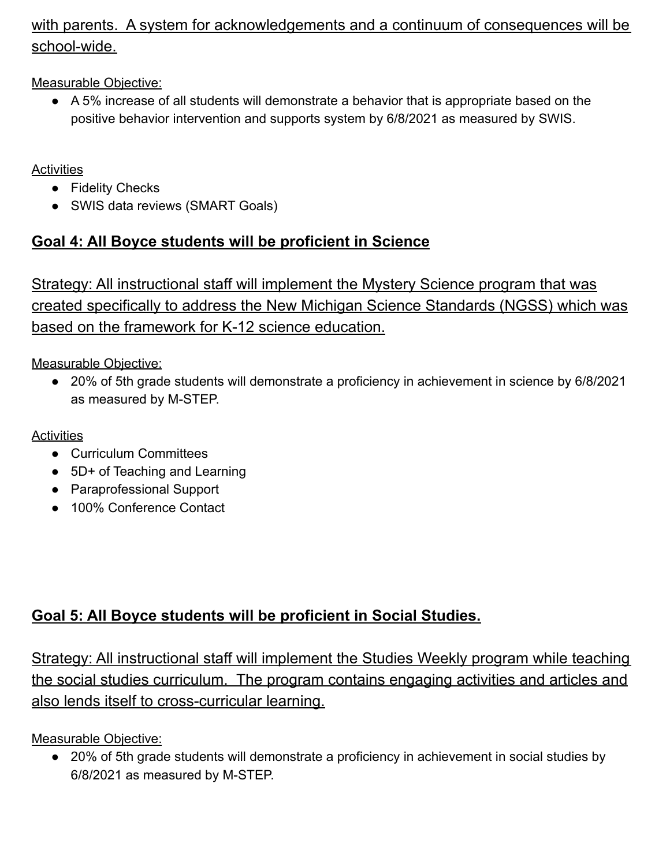### with parents. A system for acknowledgements and a continuum of consequences will be school-wide.

Measurable Objective:

● A 5% increase of all students will demonstrate a behavior that is appropriate based on the positive behavior intervention and supports system by 6/8/2021 as measured by SWIS.

**Activities** 

- Fidelity Checks
- SWIS data reviews (SMART Goals)

### **Goal 4: All Boyce students will be proficient in Science**

Strategy: All instructional staff will implement the Mystery Science program that was created specifically to address the New Michigan Science Standards (NGSS) which was based on the framework for K-12 science education.

Measurable Objective:

● 20% of 5th grade students will demonstrate a proficiency in achievement in science by 6/8/2021 as measured by M-STEP.

**Activities** 

- Curriculum Committees
- 5D+ of Teaching and Learning
- Paraprofessional Support
- 100% Conference Contact

## **Goal 5: All Boyce students will be proficient in Social Studies.**

Strategy: All instructional staff will implement the Studies Weekly program while teaching the social studies curriculum. The program contains engaging activities and articles and also lends itself to cross-curricular learning.

Measurable Objective:

● 20% of 5th grade students will demonstrate a proficiency in achievement in social studies by 6/8/2021 as measured by M-STEP.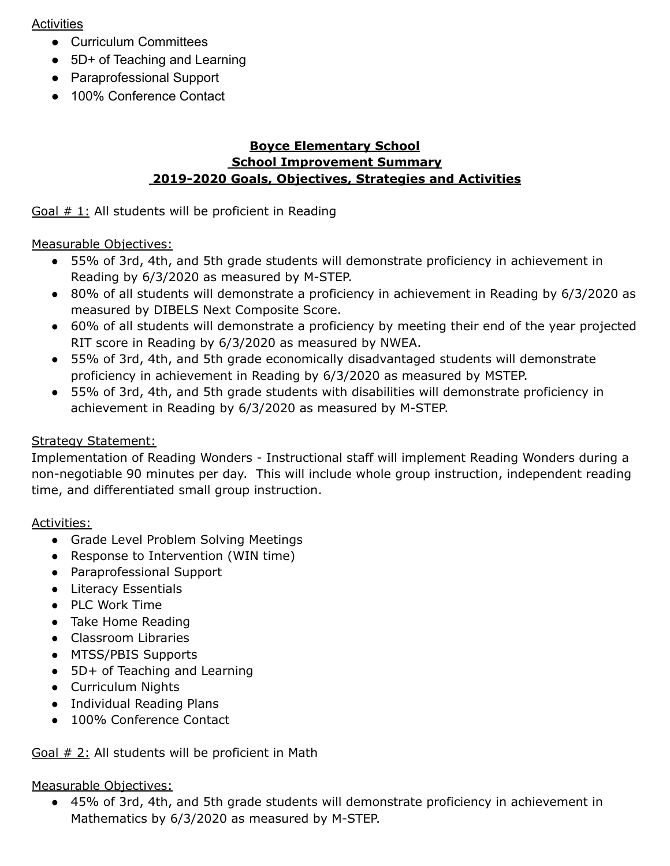#### **Activities**

- Curriculum Committees
- 5D+ of Teaching and Learning
- Paraprofessional Support
- 100% Conference Contact

#### **Boyce Elementary School School Improvement Summary 2019-2020 Goals, Objectives, Strategies and Activities**

#### Goal # 1: All students will be proficient in Reading

#### Measurable Objectives:

- 55% of 3rd, 4th, and 5th grade students will demonstrate proficiency in achievement in Reading by 6/3/2020 as measured by M-STEP.
- 80% of all students will demonstrate a proficiency in achievement in Reading by 6/3/2020 as measured by DIBELS Next Composite Score.
- 60% of all students will demonstrate a proficiency by meeting their end of the year projected RIT score in Reading by 6/3/2020 as measured by NWEA.
- 55% of 3rd, 4th, and 5th grade economically disadvantaged students will demonstrate proficiency in achievement in Reading by 6/3/2020 as measured by MSTEP.
- 55% of 3rd, 4th, and 5th grade students with disabilities will demonstrate proficiency in achievement in Reading by 6/3/2020 as measured by M-STEP.

#### Strategy Statement:

Implementation of Reading Wonders - Instructional staff will implement Reading Wonders during a non-negotiable 90 minutes per day. This will include whole group instruction, independent reading time, and differentiated small group instruction.

#### Activities:

- Grade Level Problem Solving Meetings
- Response to Intervention (WIN time)
- Paraprofessional Support
- Literacy Essentials
- PLC Work Time
- Take Home Reading
- Classroom Libraries
- MTSS/PBIS Supports
- 5D+ of Teaching and Learning
- Curriculum Nights
- Individual Reading Plans
- 100% Conference Contact

#### Goal # 2: All students will be proficient in Math

#### Measurable Objectives:

● 45% of 3rd, 4th, and 5th grade students will demonstrate proficiency in achievement in Mathematics by 6/3/2020 as measured by M-STEP.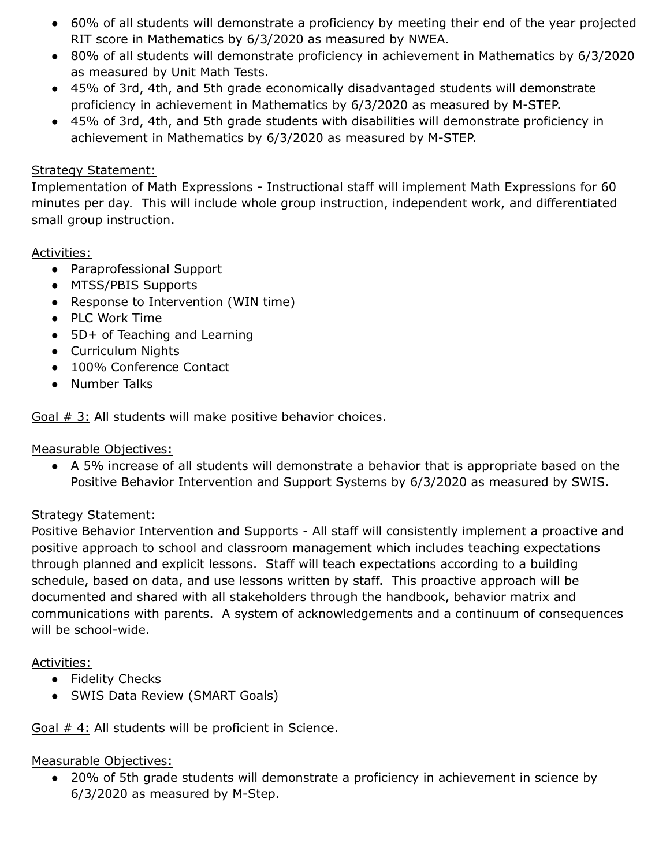- 60% of all students will demonstrate a proficiency by meeting their end of the year projected RIT score in Mathematics by 6/3/2020 as measured by NWEA.
- 80% of all students will demonstrate proficiency in achievement in Mathematics by 6/3/2020 as measured by Unit Math Tests.
- 45% of 3rd, 4th, and 5th grade economically disadvantaged students will demonstrate proficiency in achievement in Mathematics by 6/3/2020 as measured by M-STEP.
- 45% of 3rd, 4th, and 5th grade students with disabilities will demonstrate proficiency in achievement in Mathematics by 6/3/2020 as measured by M-STEP.

#### Strategy Statement:

Implementation of Math Expressions - Instructional staff will implement Math Expressions for 60 minutes per day. This will include whole group instruction, independent work, and differentiated small group instruction.

#### Activities:

- Paraprofessional Support
- MTSS/PBIS Supports
- Response to Intervention (WIN time)
- PLC Work Time
- 5D+ of Teaching and Learning
- Curriculum Nights
- 100% Conference Contact
- Number Talks

Goal # 3: All students will make positive behavior choices.

#### Measurable Objectives:

● A 5% increase of all students will demonstrate a behavior that is appropriate based on the Positive Behavior Intervention and Support Systems by 6/3/2020 as measured by SWIS.

#### Strategy Statement:

Positive Behavior Intervention and Supports - All staff will consistently implement a proactive and positive approach to school and classroom management which includes teaching expectations through planned and explicit lessons. Staff will teach expectations according to a building schedule, based on data, and use lessons written by staff. This proactive approach will be documented and shared with all stakeholders through the handbook, behavior matrix and communications with parents. A system of acknowledgements and a continuum of consequences will be school-wide.

#### Activities:

- Fidelity Checks
- SWIS Data Review (SMART Goals)

Goal # 4: All students will be proficient in Science.

#### Measurable Objectives:

● 20% of 5th grade students will demonstrate a proficiency in achievement in science by 6/3/2020 as measured by M-Step.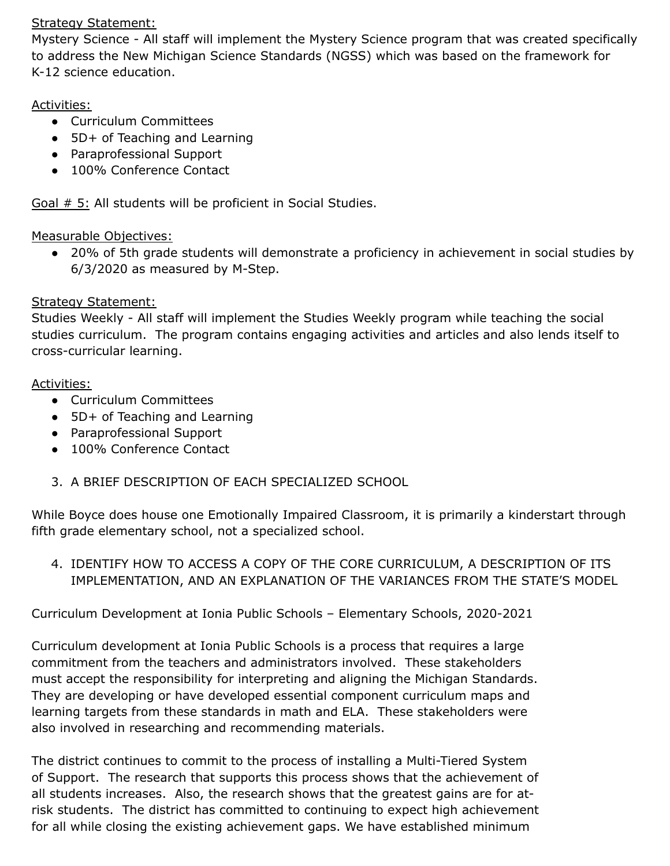#### Strategy Statement:

Mystery Science - All staff will implement the Mystery Science program that was created specifically to address the New Michigan Science Standards (NGSS) which was based on the framework for K-12 science education.

#### Activities:

- Curriculum Committees
- 5D+ of Teaching and Learning
- Paraprofessional Support
- 100% Conference Contact

Goal # 5: All students will be proficient in Social Studies.

#### Measurable Objectives:

● 20% of 5th grade students will demonstrate a proficiency in achievement in social studies by 6/3/2020 as measured by M-Step.

#### Strategy Statement:

Studies Weekly - All staff will implement the Studies Weekly program while teaching the social studies curriculum. The program contains engaging activities and articles and also lends itself to cross-curricular learning.

#### Activities:

- Curriculum Committees
- 5D+ of Teaching and Learning
- Paraprofessional Support
- 100% Conference Contact
- 3. A BRIEF DESCRIPTION OF EACH SPECIALIZED SCHOOL

While Boyce does house one Emotionally Impaired Classroom, it is primarily a kinderstart through fifth grade elementary school, not a specialized school.

4. IDENTIFY HOW TO ACCESS A COPY OF THE CORE CURRICULUM, A DESCRIPTION OF ITS IMPLEMENTATION, AND AN EXPLANATION OF THE VARIANCES FROM THE STATE'S MODEL

Curriculum Development at Ionia Public Schools – Elementary Schools, 2020-2021

Curriculum development at Ionia Public Schools is a process that requires a large commitment from the teachers and administrators involved. These stakeholders must accept the responsibility for interpreting and aligning the Michigan Standards. They are developing or have developed essential component curriculum maps and learning targets from these standards in math and ELA. These stakeholders were also involved in researching and recommending materials.

The district continues to commit to the process of installing a Multi-Tiered System of Support. The research that supports this process shows that the achievement of all students increases. Also, the research shows that the greatest gains are for atrisk students. The district has committed to continuing to expect high achievement for all while closing the existing achievement gaps. We have established minimum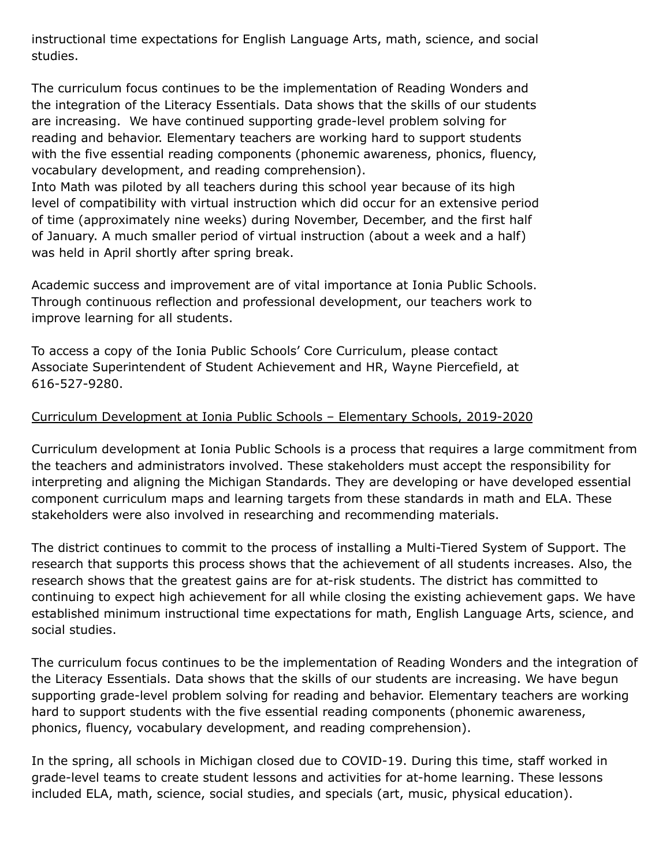instructional time expectations for English Language Arts, math, science, and social studies.

The curriculum focus continues to be the implementation of Reading Wonders and the integration of the Literacy Essentials. Data shows that the skills of our students are increasing. We have continued supporting grade-level problem solving for reading and behavior. Elementary teachers are working hard to support students with the five essential reading components (phonemic awareness, phonics, fluency, vocabulary development, and reading comprehension).

Into Math was piloted by all teachers during this school year because of its high level of compatibility with virtual instruction which did occur for an extensive period of time (approximately nine weeks) during November, December, and the first half of January. A much smaller period of virtual instruction (about a week and a half) was held in April shortly after spring break.

Academic success and improvement are of vital importance at Ionia Public Schools. Through continuous reflection and professional development, our teachers work to improve learning for all students.

To access a copy of the Ionia Public Schools' Core Curriculum, please contact Associate Superintendent of Student Achievement and HR, Wayne Piercefield, at 616-527-9280.

#### Curriculum Development at Ionia Public Schools – Elementary Schools, 2019-2020

Curriculum development at Ionia Public Schools is a process that requires a large commitment from the teachers and administrators involved. These stakeholders must accept the responsibility for interpreting and aligning the Michigan Standards. They are developing or have developed essential component curriculum maps and learning targets from these standards in math and ELA. These stakeholders were also involved in researching and recommending materials.

The district continues to commit to the process of installing a Multi-Tiered System of Support. The research that supports this process shows that the achievement of all students increases. Also, the research shows that the greatest gains are for at-risk students. The district has committed to continuing to expect high achievement for all while closing the existing achievement gaps. We have established minimum instructional time expectations for math, English Language Arts, science, and social studies.

The curriculum focus continues to be the implementation of Reading Wonders and the integration of the Literacy Essentials. Data shows that the skills of our students are increasing. We have begun supporting grade-level problem solving for reading and behavior. Elementary teachers are working hard to support students with the five essential reading components (phonemic awareness, phonics, fluency, vocabulary development, and reading comprehension).

In the spring, all schools in Michigan closed due to COVID-19. During this time, staff worked in grade-level teams to create student lessons and activities for at-home learning. These lessons included ELA, math, science, social studies, and specials (art, music, physical education).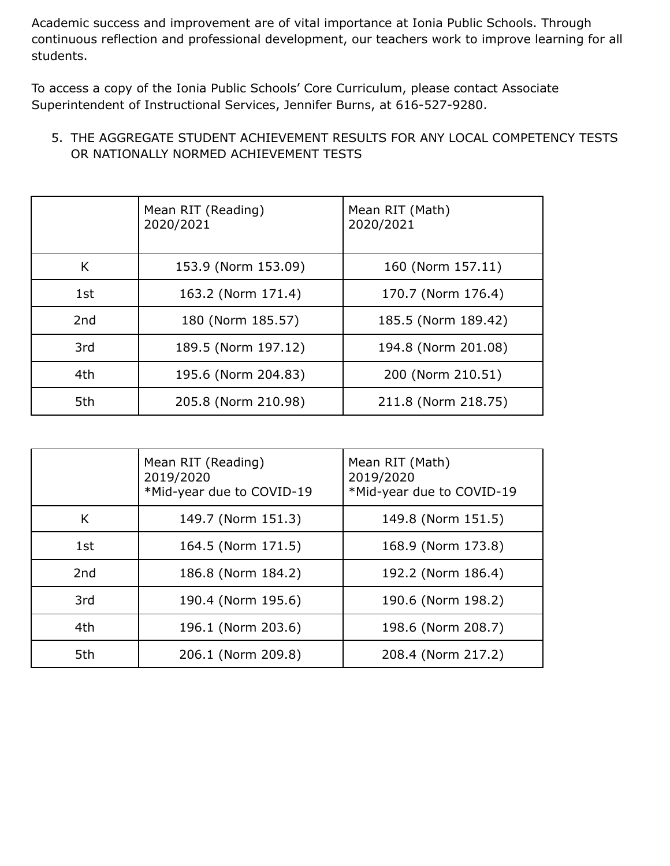Academic success and improvement are of vital importance at Ionia Public Schools. Through continuous reflection and professional development, our teachers work to improve learning for all students.

To access a copy of the Ionia Public Schools' Core Curriculum, please contact Associate Superintendent of Instructional Services, Jennifer Burns, at 616-527-9280.

#### 5. THE AGGREGATE STUDENT ACHIEVEMENT RESULTS FOR ANY LOCAL COMPETENCY TESTS OR NATIONALLY NORMED ACHIEVEMENT TESTS

|                 | Mean RIT (Reading)<br>2020/2021 | Mean RIT (Math)<br>2020/2021 |
|-----------------|---------------------------------|------------------------------|
| K               | 153.9 (Norm 153.09)             | 160 (Norm 157.11)            |
| 1st             | 163.2 (Norm 171.4)              | 170.7 (Norm 176.4)           |
| 2 <sub>nd</sub> | 180 (Norm 185.57)               | 185.5 (Norm 189.42)          |
| 3rd             | 189.5 (Norm 197.12)             | 194.8 (Norm 201.08)          |
| 4th             | 195.6 (Norm 204.83)             | 200 (Norm 210.51)            |
| 5th             | 205.8 (Norm 210.98)             | 211.8 (Norm 218.75)          |

|                 | Mean RIT (Reading)<br>2019/2020<br>*Mid-year due to COVID-19 | Mean RIT (Math)<br>2019/2020<br>*Mid-year due to COVID-19 |
|-----------------|--------------------------------------------------------------|-----------------------------------------------------------|
| K               | 149.7 (Norm 151.3)                                           | 149.8 (Norm 151.5)                                        |
| 1st             | 164.5 (Norm 171.5)                                           | 168.9 (Norm 173.8)                                        |
| 2 <sub>nd</sub> | 186.8 (Norm 184.2)                                           | 192.2 (Norm 186.4)                                        |
| 3rd             | 190.4 (Norm 195.6)                                           | 190.6 (Norm 198.2)                                        |
| 4th             | 196.1 (Norm 203.6)                                           | 198.6 (Norm 208.7)                                        |
| 5th             | 206.1 (Norm 209.8)                                           | 208.4 (Norm 217.2)                                        |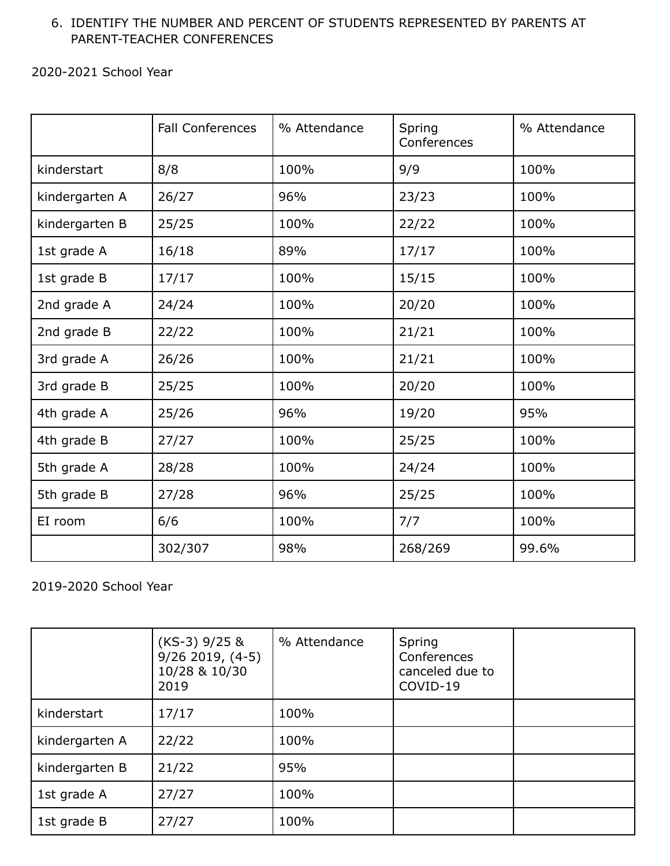#### 6. IDENTIFY THE NUMBER AND PERCENT OF STUDENTS REPRESENTED BY PARENTS AT PARENT-TEACHER CONFERENCES

2020-2021 School Year

|                | <b>Fall Conferences</b> | % Attendance | Spring<br>Conferences | % Attendance |
|----------------|-------------------------|--------------|-----------------------|--------------|
| kinderstart    | 8/8                     | 100%         | 9/9                   | 100%         |
| kindergarten A | 26/27                   | 96%          | 23/23                 | 100%         |
| kindergarten B | 25/25                   | 100%         | 22/22                 | 100%         |
| 1st grade A    | 16/18                   | 89%          | 17/17                 | 100%         |
| 1st grade B    | 17/17                   | 100%         | 15/15                 | 100%         |
| 2nd grade A    | 24/24                   | 100%         | 20/20                 | 100%         |
| 2nd grade B    | 22/22                   | 100%         | 21/21                 | 100%         |
| 3rd grade A    | 26/26                   | 100%         | 21/21                 | 100%         |
| 3rd grade B    | 25/25                   | 100%         | 20/20                 | 100%         |
| 4th grade A    | 25/26                   | 96%          | 19/20                 | 95%          |
| 4th grade B    | 27/27                   | 100%         | 25/25                 | 100%         |
| 5th grade A    | 28/28                   | 100%         | 24/24                 | 100%         |
| 5th grade B    | 27/28                   | 96%          | 25/25                 | 100%         |
| EI room        | 6/6                     | 100%         | 7/7                   | 100%         |
|                | 302/307                 | 98%          | 268/269               | 99.6%        |

2019-2020 School Year

|                | $(KS-3)$ 9/25 &<br>$9/26$ 2019, $(4-5)$<br>10/28 & 10/30<br>2019 | % Attendance | Spring<br>Conferences<br>canceled due to<br>COVID-19 |  |
|----------------|------------------------------------------------------------------|--------------|------------------------------------------------------|--|
| kinderstart    | 17/17                                                            | 100%         |                                                      |  |
| kindergarten A | 22/22                                                            | 100%         |                                                      |  |
| kindergarten B | 21/22                                                            | 95%          |                                                      |  |
| 1st grade A    | 27/27                                                            | 100%         |                                                      |  |
| 1st grade B    | 27/27                                                            | 100%         |                                                      |  |